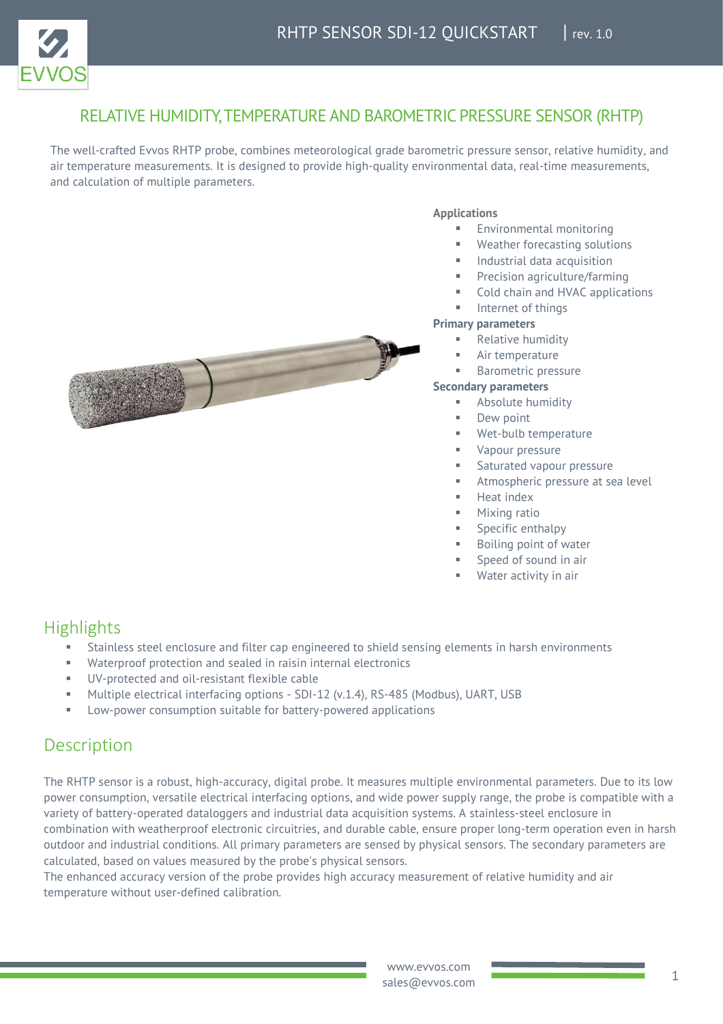

### RELATIVE HUMIDITY, TEMPERATURE AND BAROMETRIC PRESSURE SENSOR (RHTP)

The well-crafted Evvos RHTP probe, combines meteorological grade barometric pressure sensor, relative humidity, and air temperature measurements. It is designed to provide high-quality environmental data, real-time measurements, and calculation of multiple parameters.



### **Applications**

- Environmental monitoring
- Weather forecasting solutions
- **■** Industrial data acquisition
- Precision agriculture/farming
- Cold chain and HVAC applications
- Internet of things

#### **Primary parameters**

- **Relative humidity**
- Air temperature
- **Barometric pressure**

#### **Secondary parameters**

- Absolute humidity
- Dew point
	- Wet-bulb temperature
- Vapour pressure
- Saturated vapour pressure
- Atmospheric pressure at sea level
- Heat index
- Mixing ratio
- Specific enthalpy
- Boiling point of water
- Speed of sound in air
- Water activity in air

## **Highlights**

- Stainless steel enclosure and filter cap engineered to shield sensing elements in harsh environments
- Waterproof protection and sealed in raisin internal electronics
- UV-protected and oil-resistant flexible cable
- Multiple electrical interfacing options SDI-12 (v.1.4), RS-485 (Modbus), UART, USB
- Low-power consumption suitable for battery-powered applications

## Description

The RHTP sensor is a robust, high-accuracy, digital probe. It measures multiple environmental parameters. Due to its low power consumption, versatile electrical interfacing options, and wide power supply range, the probe is compatible with a variety of battery-operated dataloggers and industrial data acquisition systems. A stainless-steel enclosure in combination with weatherproof electronic circuitries, and durable cable, ensure proper long-term operation even in harsh outdoor and industrial conditions. All primary parameters are sensed by physical sensors. The secondary parameters are calculated, based on values measured by the probe's physical sensors.

The enhanced accuracy version of the probe provides high accuracy measurement of relative humidity and air temperature without user-defined calibration.

> www.evvos.com sales@evvos.com **1** 1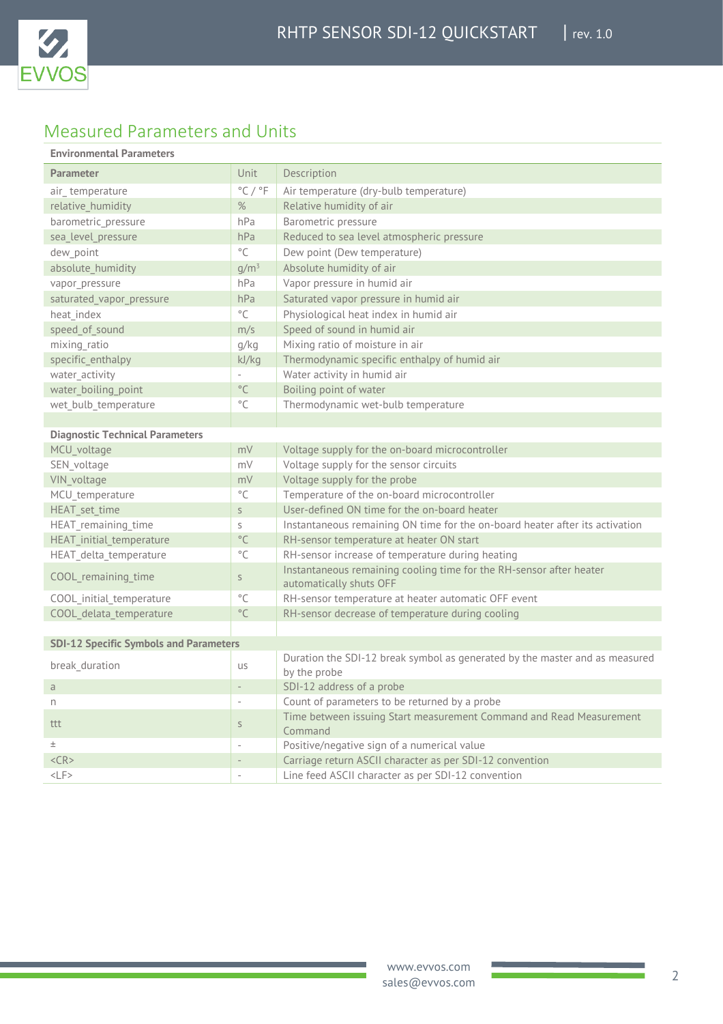

# Measured Parameters and Units

### **Environmental Parameters**

| <b>Parameter</b>                              | Unit                        | Description                                                                                    |
|-----------------------------------------------|-----------------------------|------------------------------------------------------------------------------------------------|
| air_temperature                               | $^{\circ}$ C / $^{\circ}$ F | Air temperature (dry-bulb temperature)                                                         |
| relative_humidity                             | $\%$                        | Relative humidity of air                                                                       |
| barometric_pressure                           | hPa                         | Barometric pressure                                                                            |
| sea level pressure                            | hPa                         | Reduced to sea level atmospheric pressure                                                      |
| dew_point                                     | $^{\circ}$ C                | Dew point (Dew temperature)                                                                    |
| absolute_humidity                             | $g/m^3$                     | Absolute humidity of air                                                                       |
| vapor pressure                                | hPa                         | Vapor pressure in humid air                                                                    |
| saturated_vapor_pressure                      | hPa                         | Saturated vapor pressure in humid air                                                          |
| heat_index                                    | $^{\circ}$ C                | Physiological heat index in humid air                                                          |
| speed of sound                                | m/s                         | Speed of sound in humid air                                                                    |
| mixing_ratio                                  | g/kg                        | Mixing ratio of moisture in air                                                                |
| specific_enthalpy                             | kJ/kg                       | Thermodynamic specific enthalpy of humid air                                                   |
| water_activity                                |                             | Water activity in humid air                                                                    |
| water boiling point                           | $^{\circ}$ C                | Boiling point of water                                                                         |
| wet_bulb_temperature                          | $^{\circ}$ C                | Thermodynamic wet-bulb temperature                                                             |
|                                               |                             |                                                                                                |
| <b>Diagnostic Technical Parameters</b>        |                             |                                                                                                |
| MCU voltage                                   | mV                          | Voltage supply for the on-board microcontroller                                                |
| SEN voltage                                   | mV                          | Voltage supply for the sensor circuits                                                         |
| VIN_voltage                                   | mV                          | Voltage supply for the probe                                                                   |
| MCU temperature                               | $^{\circ}$ C                | Temperature of the on-board microcontroller                                                    |
| HEAT_set_time                                 | S                           | User-defined ON time for the on-board heater                                                   |
| HEAT remaining time                           | S                           | Instantaneous remaining ON time for the on-board heater after its activation                   |
| HEAT_initial_temperature                      | $^{\circ}$ C                | RH-sensor temperature at heater ON start                                                       |
| HEAT_delta_temperature                        | $^{\circ}$ C                | RH-sensor increase of temperature during heating                                               |
| COOL remaining time                           | $\mathsf S$                 | Instantaneous remaining cooling time for the RH-sensor after heater<br>automatically shuts OFF |
| COOL_initial_temperature                      | $^{\circ}$ C                | RH-sensor temperature at heater automatic OFF event                                            |
| COOL delata temperature                       | $^{\circ}$ C                | RH-sensor decrease of temperature during cooling                                               |
|                                               |                             |                                                                                                |
| <b>SDI-12 Specific Symbols and Parameters</b> |                             |                                                                                                |
| break duration                                | us                          | Duration the SDI-12 break symbol as generated by the master and as measured<br>by the probe    |
| $\overline{a}$                                | $\overline{\phantom{a}}$    | SDI-12 address of a probe                                                                      |
| n                                             | $\overline{\phantom{a}}$    | Count of parameters to be returned by a probe                                                  |
| ttt                                           | $\mathsf S$                 | Time between issuing Start measurement Command and Read Measurement<br>Command                 |
| $_{\pm}$                                      | $\overline{\phantom{a}}$    | Positive/negative sign of a numerical value                                                    |
| $<$ CR $>$                                    | $\overline{a}$              | Carriage return ASCII character as per SDI-12 convention                                       |
| $<$ LF>                                       | $\overline{\phantom{a}}$    | Line feed ASCII character as per SDI-12 convention                                             |